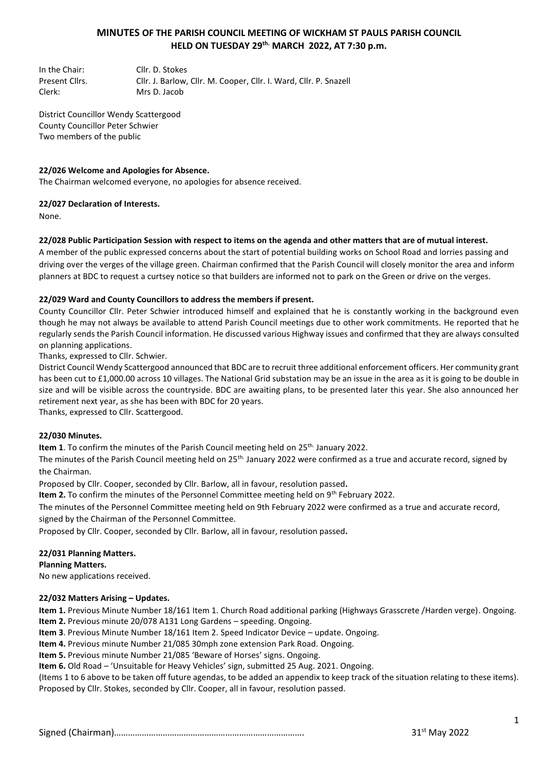# **MINUTES OF THE PARISH COUNCIL MEETING OF WICKHAM ST PAULS PARISH COUNCIL HELD ON TUESDAY 29th. MARCH 2022, AT 7:30 p.m.**

In the Chair: Cllr. D. Stokes Present Cllrs. Cllr. J. Barlow, Cllr. M. Cooper, Cllr. I. Ward, Cllr. P. Snazell Clerk: Mrs D. Jacob

District Councillor Wendy Scattergood County Councillor Peter Schwier Two members of the public

#### **22/026 Welcome and Apologies for Absence.**

The Chairman welcomed everyone, no apologies for absence received.

#### **22/027 Declaration of Interests.**

None.

#### **22/028 Public Participation Session with respect to items on the agenda and other matters that are of mutual interest.**

A member of the public expressed concerns about the start of potential building works on School Road and lorries passing and driving over the verges of the village green. Chairman confirmed that the Parish Council will closely monitor the area and inform planners at BDC to request a curtsey notice so that builders are informed not to park on the Green or drive on the verges.

### **22/029 Ward and County Councillors to address the members if present.**

County Councillor Cllr. Peter Schwier introduced himself and explained that he is constantly working in the background even though he may not always be available to attend Parish Council meetings due to other work commitments. He reported that he regularly sends the Parish Council information. He discussed various Highway issues and confirmed that they are always consulted on planning applications.

Thanks, expressed to Cllr. Schwier.

District Council Wendy Scattergood announced that BDC are to recruit three additional enforcement officers. Her community grant has been cut to £1,000.00 across 10 villages. The National Grid substation may be an issue in the area as it is going to be double in size and will be visible across the countryside. BDC are awaiting plans, to be presented later this year. She also announced her retirement next year, as she has been with BDC for 20 years.

Thanks, expressed to Cllr. Scattergood.

#### **22/030 Minutes.**

Item 1. To confirm the minutes of the Parish Council meeting held on 25<sup>th.</sup> January 2022.

The minutes of the Parish Council meeting held on 25<sup>th.</sup> January 2022 were confirmed as a true and accurate record, signed by the Chairman.

Proposed by Cllr. Cooper, seconded by Cllr. Barlow, all in favour, resolution passed**.**

**Item 2.** To confirm the minutes of the Personnel Committee meeting held on 9<sup>th</sup> February 2022.

The minutes of the Personnel Committee meeting held on 9th February 2022 were confirmed as a true and accurate record, signed by the Chairman of the Personnel Committee.

Proposed by Cllr. Cooper, seconded by Cllr. Barlow, all in favour, resolution passed**.**

#### **22/031 Planning Matters.**

**Planning Matters.** 

No new applications received.

#### **22/032 Matters Arising – Updates.**

**Item 1.** Previous Minute Number 18/161 Item 1. Church Road additional parking (Highways Grasscrete /Harden verge). Ongoing. **Item 2.** Previous minute 20/078 A131 Long Gardens – speeding. Ongoing.

**Item 3**. Previous Minute Number 18/161 Item 2. Speed Indicator Device – update. Ongoing.

**Item 4.** Previous minute Number 21/085 30mph zone extension Park Road. Ongoing.

**Item 5.** Previous minute Number 21/085 'Beware of Horses' signs. Ongoing.

**Item 6.** Old Road – 'Unsuitable for Heavy Vehicles' sign, submitted 25 Aug. 2021. Ongoing.

(Items 1 to 6 above to be taken off future agendas, to be added an appendix to keep track of the situation relating to these items). Proposed by Cllr. Stokes, seconded by Cllr. Cooper, all in favour, resolution passed.

Signed (Chairman)………………………………………………………………………. 31st May 2022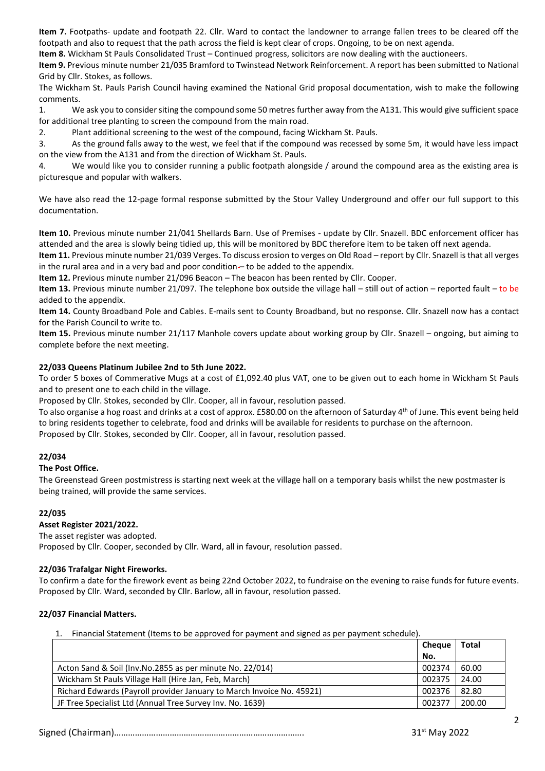**Item 7.** Footpaths- update and footpath 22. Cllr. Ward to contact the landowner to arrange fallen trees to be cleared off the footpath and also to request that the path across the field is kept clear of crops. Ongoing, to be on next agenda.

**Item 8.** Wickham St Pauls Consolidated Trust – Continued progress, solicitors are now dealing with the auctioneers.

**Item 9.** Previous minute number 21/035 Bramford to Twinstead Network Reinforcement. A report has been submitted to National Grid by Cllr. Stokes, as follows.

The Wickham St. Pauls Parish Council having examined the National Grid proposal documentation, wish to make the following comments.

1. We ask you to consider siting the compound some 50 metres further away from the A131. This would give sufficient space for additional tree planting to screen the compound from the main road.

2. Plant additional screening to the west of the compound, facing Wickham St. Pauls.

3. As the ground falls away to the west, we feel that if the compound was recessed by some 5m, it would have less impact on the view from the A131 and from the direction of Wickham St. Pauls.

4. We would like you to consider running a public footpath alongside / around the compound area as the existing area is picturesque and popular with walkers.

We have also read the 12-page formal response submitted by the Stour Valley Underground and offer our full support to this documentation.

**Item 10.** Previous minute number 21/041 Shellards Barn. Use of Premises - update by Cllr. Snazell. BDC enforcement officer has attended and the area is slowly being tidied up, this will be monitored by BDC therefore item to be taken off next agenda.

**Item 11.** Previous minute number 21/039 Verges. To discuss erosion to verges on Old Road – report by Cllr. Snazell is that all verges in the rural area and in a very bad and poor condition- to be added to the appendix.

**Item 12.** Previous minute number 21/096 Beacon – The beacon has been rented by Cllr. Cooper.

**Item 13.** Previous minute number 21/097. The telephone box outside the village hall – still out of action – reported fault – to be added to the appendix.

**Item 14.** County Broadband Pole and Cables. E-mails sent to County Broadband, but no response. Cllr. Snazell now has a contact for the Parish Council to write to.

**Item 15.** Previous minute number 21/117 Manhole covers update about working group by Cllr. Snazell – ongoing, but aiming to complete before the next meeting.

### **22/033 Queens Platinum Jubilee 2nd to 5th June 2022.**

To order 5 boxes of Commerative Mugs at a cost of £1,092.40 plus VAT, one to be given out to each home in Wickham St Pauls and to present one to each child in the village.

Proposed by Cllr. Stokes, seconded by Cllr. Cooper, all in favour, resolution passed.

To also organise a hog roast and drinks at a cost of approx. £580.00 on the afternoon of Saturday 4<sup>th</sup> of June. This event being held to bring residents together to celebrate, food and drinks will be available for residents to purchase on the afternoon.

Proposed by Cllr. Stokes, seconded by Cllr. Cooper, all in favour, resolution passed.

#### **22/034**

#### **The Post Office.**

The Greenstead Green postmistress is starting next week at the village hall on a temporary basis whilst the new postmaster is being trained, will provide the same services.

#### **22/035**

#### **Asset Register 2021/2022.**

The asset register was adopted.

Proposed by Cllr. Cooper, seconded by Cllr. Ward, all in favour, resolution passed.

#### **22/036 Trafalgar Night Fireworks.**

To confirm a date for the firework event as being 22nd October 2022, to fundraise on the evening to raise funds for future events. Proposed by Cllr. Ward, seconded by Cllr. Barlow, all in favour, resolution passed.

#### **22/037 Financial Matters.**

1. Financial Statement (Items to be approved for payment and signed as per payment schedule).

|                                                                       | <b>Cheaue</b> | Total  |
|-----------------------------------------------------------------------|---------------|--------|
|                                                                       | No.           |        |
| Acton Sand & Soil (Inv. No. 2855 as per minute No. 22/014)            | 002374        | 60.00  |
| Wickham St Pauls Village Hall (Hire Jan, Feb, March)                  | 002375        | 24.00  |
| Richard Edwards (Payroll provider January to March Invoice No. 45921) | 002376        | 82.80  |
| JF Tree Specialist Ltd (Annual Tree Survey Inv. No. 1639)             | 002377        | 200.00 |